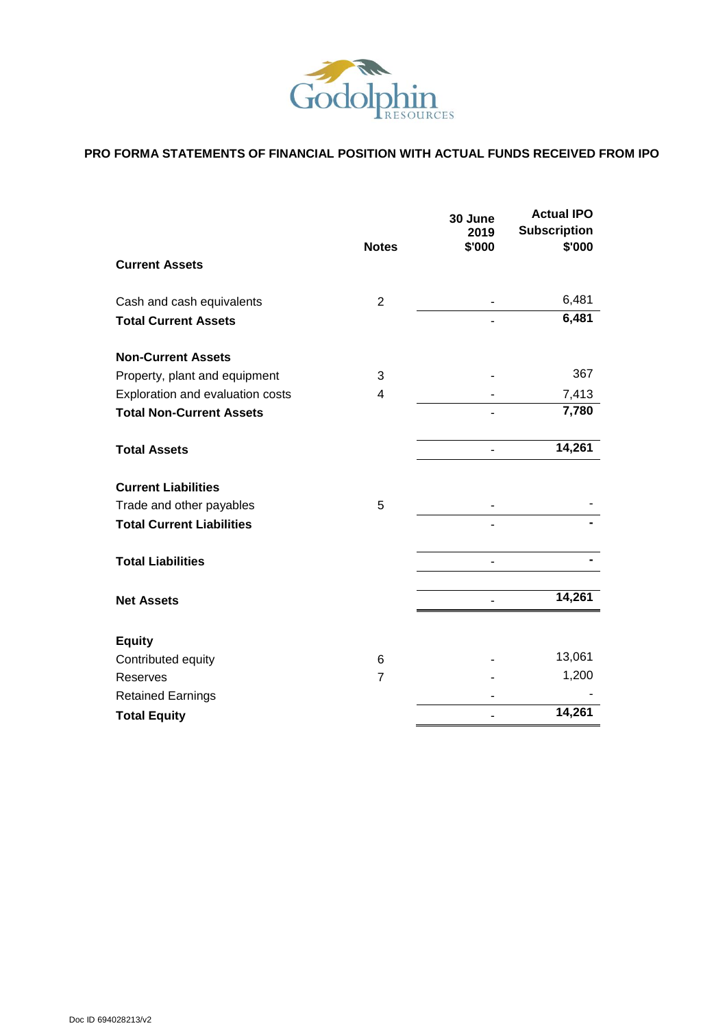

# **PRO FORMA STATEMENTS OF FINANCIAL POSITION WITH ACTUAL FUNDS RECEIVED FROM IPO**

|                                  |                | 30 June<br>2019 | <b>Actual IPO</b><br><b>Subscription</b> |
|----------------------------------|----------------|-----------------|------------------------------------------|
| <b>Current Assets</b>            | <b>Notes</b>   | \$'000          | \$'000                                   |
| Cash and cash equivalents        | 2              |                 | 6,481                                    |
| <b>Total Current Assets</b>      |                |                 | 6,481                                    |
| <b>Non-Current Assets</b>        |                |                 |                                          |
| Property, plant and equipment    | 3              |                 | 367                                      |
| Exploration and evaluation costs | $\overline{4}$ |                 | 7,413                                    |
| <b>Total Non-Current Assets</b>  |                |                 | 7,780                                    |
| <b>Total Assets</b>              |                |                 | 14,261                                   |
| <b>Current Liabilities</b>       |                |                 |                                          |
| Trade and other payables         | 5              |                 |                                          |
| <b>Total Current Liabilities</b> |                |                 |                                          |
| <b>Total Liabilities</b>         |                |                 |                                          |
| <b>Net Assets</b>                |                |                 | 14,261                                   |
| <b>Equity</b>                    |                |                 |                                          |
| Contributed equity               | 6              |                 | 13,061                                   |
| Reserves                         | $\overline{7}$ |                 | 1,200                                    |
| <b>Retained Earnings</b>         |                |                 |                                          |
| <b>Total Equity</b>              |                |                 | 14,261                                   |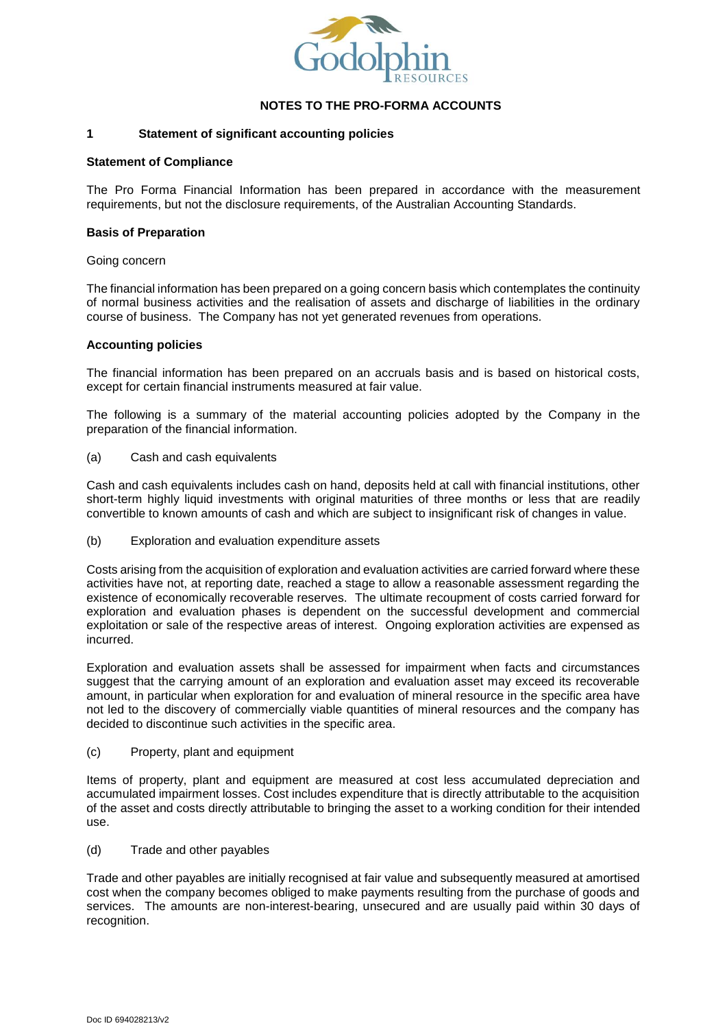

#### **1 Statement of significant accounting policies**

#### **Statement of Compliance**

The Pro Forma Financial Information has been prepared in accordance with the measurement requirements, but not the disclosure requirements, of the Australian Accounting Standards.

#### **Basis of Preparation**

#### Going concern

The financial information has been prepared on a going concern basis which contemplates the continuity of normal business activities and the realisation of assets and discharge of liabilities in the ordinary course of business. The Company has not yet generated revenues from operations.

#### **Accounting policies**

The financial information has been prepared on an accruals basis and is based on historical costs, except for certain financial instruments measured at fair value.

The following is a summary of the material accounting policies adopted by the Company in the preparation of the financial information.

(a) Cash and cash equivalents

Cash and cash equivalents includes cash on hand, deposits held at call with financial institutions, other short-term highly liquid investments with original maturities of three months or less that are readily convertible to known amounts of cash and which are subject to insignificant risk of changes in value.

(b) Exploration and evaluation expenditure assets

Costs arising from the acquisition of exploration and evaluation activities are carried forward where these activities have not, at reporting date, reached a stage to allow a reasonable assessment regarding the existence of economically recoverable reserves. The ultimate recoupment of costs carried forward for exploration and evaluation phases is dependent on the successful development and commercial exploitation or sale of the respective areas of interest. Ongoing exploration activities are expensed as incurred.

Exploration and evaluation assets shall be assessed for impairment when facts and circumstances suggest that the carrying amount of an exploration and evaluation asset may exceed its recoverable amount, in particular when exploration for and evaluation of mineral resource in the specific area have not led to the discovery of commercially viable quantities of mineral resources and the company has decided to discontinue such activities in the specific area.

(c) Property, plant and equipment

Items of property, plant and equipment are measured at cost less accumulated depreciation and accumulated impairment losses. Cost includes expenditure that is directly attributable to the acquisition of the asset and costs directly attributable to bringing the asset to a working condition for their intended use.

(d) Trade and other payables

Trade and other payables are initially recognised at fair value and subsequently measured at amortised cost when the company becomes obliged to make payments resulting from the purchase of goods and services. The amounts are non-interest-bearing, unsecured and are usually paid within 30 days of recognition.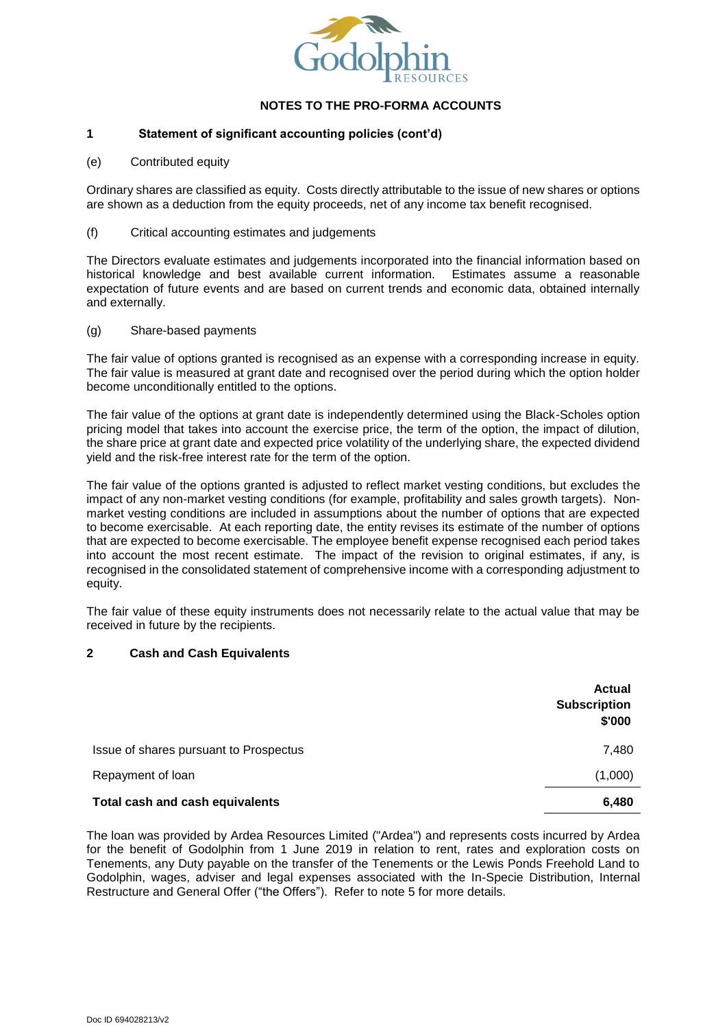

# **1 Statement of significant accounting policies (cont'd)**

(e) Contributed equity

Ordinary shares are classified as equity. Costs directly attributable to the issue of new shares or options are shown as a deduction from the equity proceeds, net of any income tax benefit recognised.

(f) Critical accounting estimates and judgements

The Directors evaluate estimates and judgements incorporated into the financial information based on historical knowledge and best available current information. Estimates assume a reasonable expectation of future events and are based on current trends and economic data, obtained internally and externally.

(g) Share-based payments

The fair value of options granted is recognised as an expense with a corresponding increase in equity. The fair value is measured at grant date and recognised over the period during which the option holder become unconditionally entitled to the options.

The fair value of the options at grant date is independently determined using the Black-Scholes option pricing model that takes into account the exercise price, the term of the option, the impact of dilution, the share price at grant date and expected price volatility of the underlying share, the expected dividend yield and the risk-free interest rate for the term of the option.

The fair value of the options granted is adjusted to reflect market vesting conditions, but excludes the impact of any non-market vesting conditions (for example, profitability and sales growth targets). Nonmarket vesting conditions are included in assumptions about the number of options that are expected to become exercisable. At each reporting date, the entity revises its estimate of the number of options that are expected to become exercisable. The employee benefit expense recognised each period takes into account the most recent estimate. The impact of the revision to original estimates, if any, is recognised in the consolidated statement of comprehensive income with a corresponding adjustment to equity.

The fair value of these equity instruments does not necessarily relate to the actual value that may be received in future by the recipients.

# **2 Cash and Cash Equivalents**

|                                        | <b>Actual</b><br><b>Subscription</b><br>\$'000 |
|----------------------------------------|------------------------------------------------|
| Issue of shares pursuant to Prospectus | 7,480                                          |
| Repayment of loan                      | (1,000)                                        |
| Total cash and cash equivalents        | 6,480                                          |

The loan was provided by Ardea Resources Limited ("Ardea") and represents costs incurred by Ardea for the benefit of Godolphin from 1 June 2019 in relation to rent, rates and exploration costs on Tenements, any Duty payable on the transfer of the Tenements or the Lewis Ponds Freehold Land to Godolphin, wages, adviser and legal expenses associated with the In-Specie Distribution, Internal Restructure and General Offer ("the Offers"). Refer to note 5 for more details.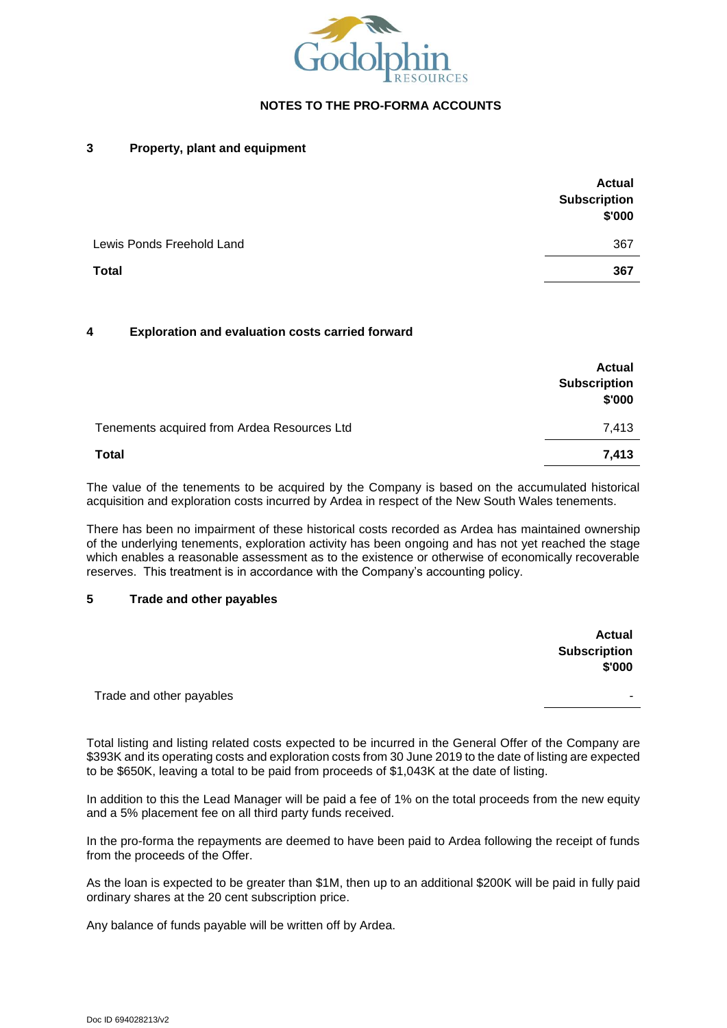

#### **3 Property, plant and equipment**

|                           | <b>Actual</b><br><b>Subscription</b><br>\$'000 |
|---------------------------|------------------------------------------------|
| Lewis Ponds Freehold Land | 367                                            |
| <b>Total</b>              | 367                                            |

#### **4 Exploration and evaluation costs carried forward**

|                                             | <b>Actual</b><br><b>Subscription</b><br>\$'000 |
|---------------------------------------------|------------------------------------------------|
| Tenements acquired from Ardea Resources Ltd | 7,413                                          |
| <b>Total</b>                                | 7,413                                          |

The value of the tenements to be acquired by the Company is based on the accumulated historical acquisition and exploration costs incurred by Ardea in respect of the New South Wales tenements.

There has been no impairment of these historical costs recorded as Ardea has maintained ownership of the underlying tenements, exploration activity has been ongoing and has not yet reached the stage which enables a reasonable assessment as to the existence or otherwise of economically recoverable reserves. This treatment is in accordance with the Company's accounting policy.

#### **5 Trade and other payables**

|                          | <b>Actual</b>                 |
|--------------------------|-------------------------------|
|                          | <b>Subscription</b><br>\$'000 |
| Trade and other payables | -                             |

Total listing and listing related costs expected to be incurred in the General Offer of the Company are \$393K and its operating costs and exploration costs from 30 June 2019 to the date of listing are expected to be \$650K, leaving a total to be paid from proceeds of \$1,043K at the date of listing.

In addition to this the Lead Manager will be paid a fee of 1% on the total proceeds from the new equity and a 5% placement fee on all third party funds received.

In the pro-forma the repayments are deemed to have been paid to Ardea following the receipt of funds from the proceeds of the Offer.

As the loan is expected to be greater than \$1M, then up to an additional \$200K will be paid in fully paid ordinary shares at the 20 cent subscription price.

Any balance of funds payable will be written off by Ardea.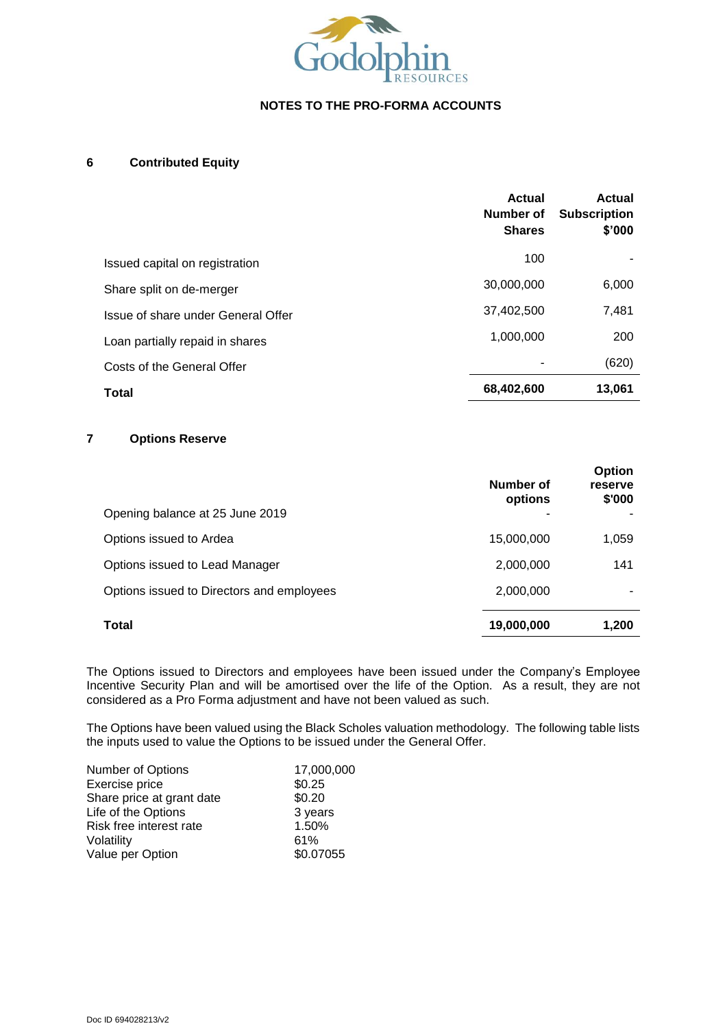

## **6 Contributed Equity**

|                                    | <b>Actual</b><br>Number of<br><b>Shares</b> | <b>Actual</b><br><b>Subscription</b><br>\$'000 |
|------------------------------------|---------------------------------------------|------------------------------------------------|
| Issued capital on registration     | 100                                         |                                                |
| Share split on de-merger           | 30,000,000                                  | 6,000                                          |
| Issue of share under General Offer | 37,402,500                                  | 7,481                                          |
| Loan partially repaid in shares    | 1,000,000                                   | 200                                            |
| Costs of the General Offer         |                                             | (620)                                          |
| <b>Total</b>                       | 68,402,600                                  | 13,061                                         |

# **7 Options Reserve**

| Opening balance at 25 June 2019           | Number of<br>options | <b>Option</b><br>reserve<br>\$'000 |
|-------------------------------------------|----------------------|------------------------------------|
| Options issued to Ardea                   | 15,000,000           | 1,059                              |
| Options issued to Lead Manager            | 2,000,000            | 141                                |
| Options issued to Directors and employees | 2,000,000            |                                    |
| <b>Total</b>                              | 19,000,000           | 1,200                              |

The Options issued to Directors and employees have been issued under the Company's Employee Incentive Security Plan and will be amortised over the life of the Option. As a result, they are not considered as a Pro Forma adjustment and have not been valued as such.

The Options have been valued using the Black Scholes valuation methodology. The following table lists the inputs used to value the Options to be issued under the General Offer.

| Number of Options         | 17,000,000 |
|---------------------------|------------|
| Exercise price            | \$0.25     |
| Share price at grant date | \$0.20     |
| Life of the Options       | 3 years    |
| Risk free interest rate   | 1.50%      |
| Volatility                | 61%        |
| Value per Option          | \$0.07055  |